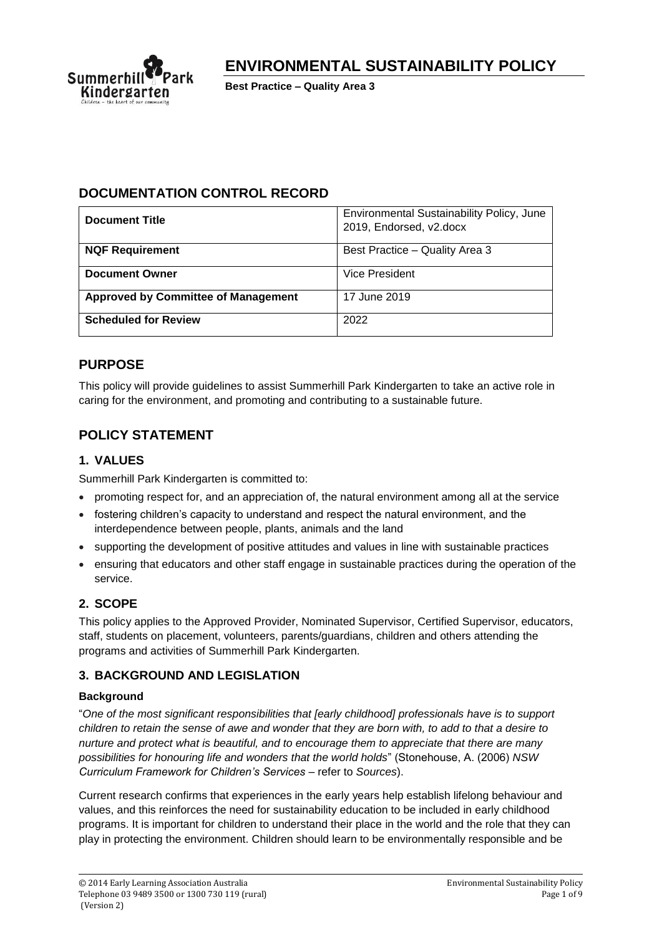

# **ENVIRONMENTAL SUSTAINABILITY POLICY**

**Best Practice – Quality Area 3**

### **DOCUMENTATION CONTROL RECORD**

| <b>Document Title</b>                      | Environmental Sustainability Policy, June<br>2019, Endorsed, v2.docx |
|--------------------------------------------|----------------------------------------------------------------------|
| <b>NQF Requirement</b>                     | Best Practice - Quality Area 3                                       |
| <b>Document Owner</b>                      | <b>Vice President</b>                                                |
| <b>Approved by Committee of Management</b> | 17 June 2019                                                         |
| <b>Scheduled for Review</b>                | 2022                                                                 |

## **PURPOSE**

This policy will provide guidelines to assist Summerhill Park Kindergarten to take an active role in caring for the environment, and promoting and contributing to a sustainable future.

## **POLICY STATEMENT**

### **1. VALUES**

Summerhill Park Kindergarten is committed to:

- promoting respect for, and an appreciation of, the natural environment among all at the service
- fostering children's capacity to understand and respect the natural environment, and the interdependence between people, plants, animals and the land
- supporting the development of positive attitudes and values in line with sustainable practices
- ensuring that educators and other staff engage in sustainable practices during the operation of the service.

### **2. SCOPE**

This policy applies to the Approved Provider, Nominated Supervisor, Certified Supervisor, educators, staff, students on placement, volunteers, parents/guardians, children and others attending the programs and activities of Summerhill Park Kindergarten.

### **3. BACKGROUND AND LEGISLATION**

### **Background**

"*One of the most significant responsibilities that [early childhood] professionals have is to support children to retain the sense of awe and wonder that they are born with, to add to that a desire to nurture and protect what is beautiful, and to encourage them to appreciate that there are many possibilities for honouring life and wonders that the world holds*" (Stonehouse, A. (2006) *NSW Curriculum Framework for Children's Services* – refer to *Sources*).

Current research confirms that experiences in the early years help establish lifelong behaviour and values, and this reinforces the need for sustainability education to be included in early childhood programs. It is important for children to understand their place in the world and the role that they can play in protecting the environment. Children should learn to be environmentally responsible and be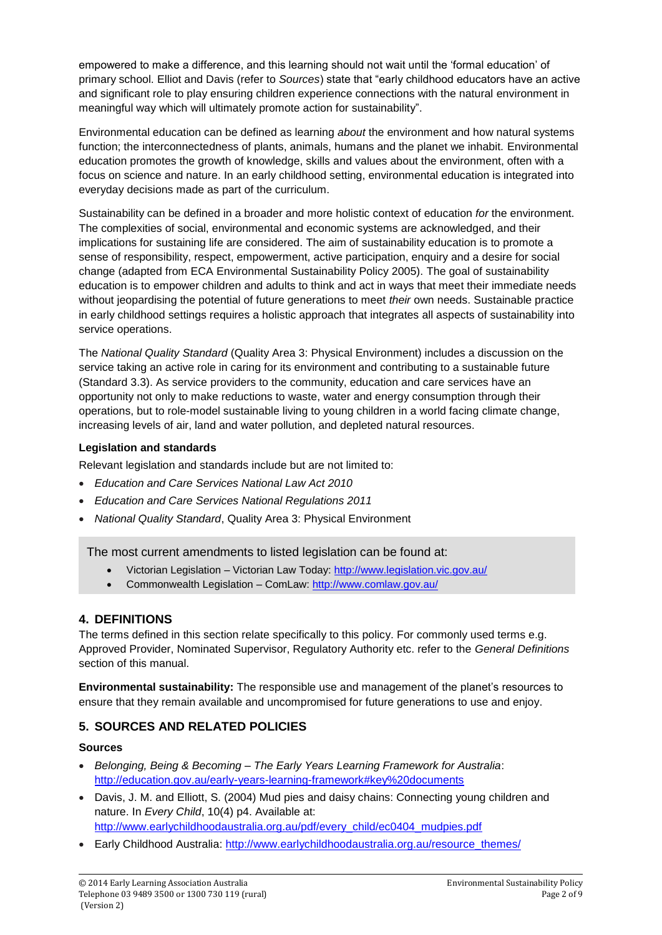empowered to make a difference, and this learning should not wait until the 'formal education' of primary school. Elliot and Davis (refer to *Sources*) state that "early childhood educators have an active and significant role to play ensuring children experience connections with the natural environment in meaningful way which will ultimately promote action for sustainability".

Environmental education can be defined as learning *about* the environment and how natural systems function; the interconnectedness of plants, animals, humans and the planet we inhabit. Environmental education promotes the growth of knowledge, skills and values about the environment, often with a focus on science and nature. In an early childhood setting, environmental education is integrated into everyday decisions made as part of the curriculum.

Sustainability can be defined in a broader and more holistic context of education *for* the environment. The complexities of social, environmental and economic systems are acknowledged, and their implications for sustaining life are considered. The aim of sustainability education is to promote a sense of responsibility, respect, empowerment, active participation, enquiry and a desire for social change (adapted from ECA Environmental Sustainability Policy 2005). The goal of sustainability education is to empower children and adults to think and act in ways that meet their immediate needs without jeopardising the potential of future generations to meet *their* own needs. Sustainable practice in early childhood settings requires a holistic approach that integrates all aspects of sustainability into service operations.

The *National Quality Standard* (Quality Area 3: Physical Environment) includes a discussion on the service taking an active role in caring for its environment and contributing to a sustainable future (Standard 3.3). As service providers to the community, education and care services have an opportunity not only to make reductions to waste, water and energy consumption through their operations, but to role-model sustainable living to young children in a world facing climate change, increasing levels of air, land and water pollution, and depleted natural resources.

#### **Legislation and standards**

Relevant legislation and standards include but are not limited to:

- *Education and Care Services National Law Act 2010*
- *Education and Care Services National Regulations 2011*
- *National Quality Standard*, Quality Area 3: Physical Environment

The most current amendments to listed legislation can be found at:

- Victorian Legislation Victorian Law Today:<http://www.legislation.vic.gov.au/>
- Commonwealth Legislation ComLaw:<http://www.comlaw.gov.au/>

### **4. DEFINITIONS**

The terms defined in this section relate specifically to this policy. For commonly used terms e.g. Approved Provider, Nominated Supervisor, Regulatory Authority etc. refer to the *General Definitions* section of this manual.

**Environmental sustainability:** The responsible use and management of the planet's resources to ensure that they remain available and uncompromised for future generations to use and enjoy.

### **5. SOURCES AND RELATED POLICIES**

#### **Sources**

- *Belonging, Being & Becoming – The Early Years Learning Framework for Australia*: <http://education.gov.au/early-years-learning-framework#key%20documents>
- Davis, J. M. and Elliott, S. (2004) Mud pies and daisy chains: Connecting young children and nature. In *Every Child*, 10(4) p4. Available at: [http://www.earlychildhoodaustralia.org.au/pdf/every\\_child/ec0404\\_mudpies.pdf](http://www.earlychildhoodaustralia.org.au/pdf/every_child/ec0404_mudpies.pdf)
- Early Childhood Australia: [http://www.earlychildhoodaustralia.org.au/resource\\_themes/](http://www.earlychildhoodaustralia.org.au/resource_themes/)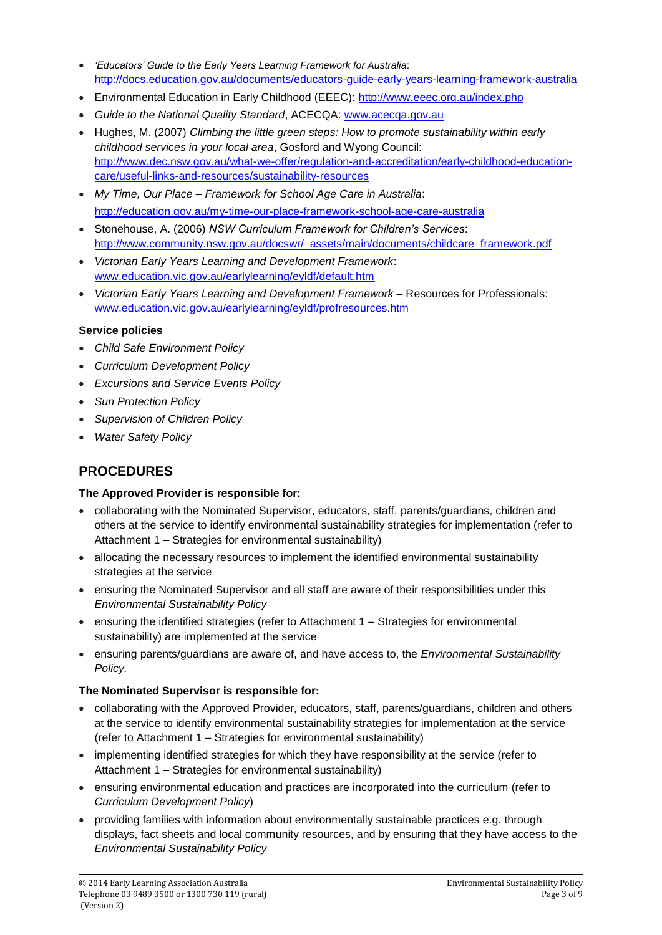- *'Educators' Guide to the Early Years Learning Framework for Australia*: <http://docs.education.gov.au/documents/educators-guide-early-years-learning-framework-australia>
- Environmental Education in Early Childhood (EEEC): <http://www.eeec.org.au/index.php>
- *Guide to the National Quality Standard*, ACECQA: [www.acecqa.gov.au](http://www.acecqa.gov.au/)
- Hughes, M. (2007) *Climbing the little green steps: How to promote sustainability within early childhood services in your local area*, Gosford and Wyong Council: [http://www.dec.nsw.gov.au/what-we-offer/regulation-and-accreditation/early-childhood-education](http://www.dec.nsw.gov.au/what-we-offer/regulation-and-accreditation/early-childhood-education-care/useful-links-and-resources/sustainability-resources)[care/useful-links-and-resources/sustainability-resources](http://www.dec.nsw.gov.au/what-we-offer/regulation-and-accreditation/early-childhood-education-care/useful-links-and-resources/sustainability-resources)
- *My Time, Our Place – Framework for School Age Care in Australia*: <http://education.gov.au/my-time-our-place-framework-school-age-care-australia>
- Stonehouse, A. (2006) *NSW Curriculum Framework for Children's Services*: [http://www.community.nsw.gov.au/docswr/\\_assets/main/documents/childcare\\_framework.pdf](http://www.community.nsw.gov.au/docswr/_assets/main/documents/childcare_framework.pdf)
- *Victorian Early Years Learning and Development Framework*: [www.education.vic.gov.au/earlylearning/eyldf/default.htm](http://www.education.vic.gov.au/earlylearning/eyldf/default.htm)
- *Victorian Early Years Learning and Development Framework* Resources for Professionals: [www.education.vic.gov.au/earlylearning/eyldf/profresources.htm](http://www.education.vic.gov.au/earlylearning/eyldf/profresources.htm)

#### **Service policies**

- *Child Safe Environment Policy*
- *Curriculum Development Policy*
- *Excursions and Service Events Policy*
- *Sun Protection Policy*
- *Supervision of Children Policy*
- *Water Safety Policy*

### **PROCEDURES**

#### **The Approved Provider is responsible for:**

- collaborating with the Nominated Supervisor, educators, staff, parents/guardians, children and others at the service to identify environmental sustainability strategies for implementation (refer to Attachment 1 – Strategies for environmental sustainability)
- allocating the necessary resources to implement the identified environmental sustainability strategies at the service
- ensuring the Nominated Supervisor and all staff are aware of their responsibilities under this *Environmental Sustainability Policy*
- ensuring the identified strategies (refer to Attachment 1 Strategies for environmental sustainability) are implemented at the service
- ensuring parents/guardians are aware of, and have access to, the *Environmental Sustainability Policy.*

#### **The Nominated Supervisor is responsible for:**

- collaborating with the Approved Provider, educators, staff, parents/guardians, children and others at the service to identify environmental sustainability strategies for implementation at the service (refer to Attachment 1 – Strategies for environmental sustainability)
- implementing identified strategies for which they have responsibility at the service (refer to Attachment 1 – Strategies for environmental sustainability)
- ensuring environmental education and practices are incorporated into the curriculum (refer to *Curriculum Development Policy*)
- providing families with information about environmentally sustainable practices e.g. through displays, fact sheets and local community resources, and by ensuring that they have access to the *Environmental Sustainability Policy*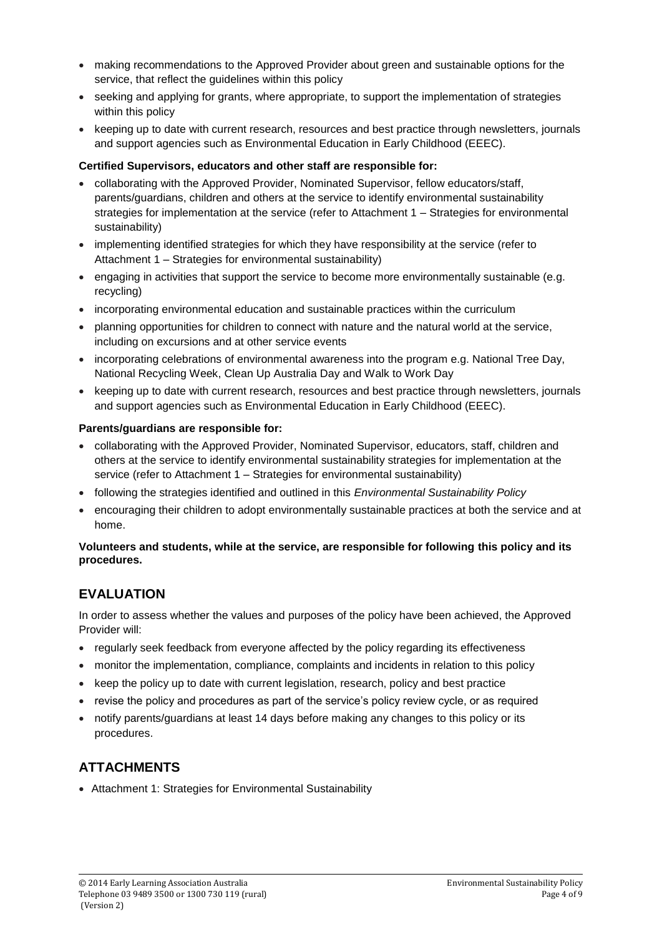- making recommendations to the Approved Provider about green and sustainable options for the service, that reflect the guidelines within this policy
- seeking and applying for grants, where appropriate, to support the implementation of strategies within this policy
- keeping up to date with current research, resources and best practice through newsletters, journals and support agencies such as Environmental Education in Early Childhood (EEEC).

#### **Certified Supervisors, educators and other staff are responsible for:**

- collaborating with the Approved Provider, Nominated Supervisor, fellow educators/staff, parents/guardians, children and others at the service to identify environmental sustainability strategies for implementation at the service (refer to Attachment 1 – Strategies for environmental sustainability)
- implementing identified strategies for which they have responsibility at the service (refer to Attachment 1 – Strategies for environmental sustainability)
- engaging in activities that support the service to become more environmentally sustainable (e.g. recycling)
- incorporating environmental education and sustainable practices within the curriculum
- planning opportunities for children to connect with nature and the natural world at the service, including on excursions and at other service events
- incorporating celebrations of environmental awareness into the program e.g. National Tree Day, National Recycling Week, Clean Up Australia Day and Walk to Work Day
- keeping up to date with current research, resources and best practice through newsletters, journals and support agencies such as Environmental Education in Early Childhood (EEEC).

#### **Parents/guardians are responsible for:**

- collaborating with the Approved Provider, Nominated Supervisor, educators, staff, children and others at the service to identify environmental sustainability strategies for implementation at the service (refer to Attachment 1 – Strategies for environmental sustainability)
- following the strategies identified and outlined in this *Environmental Sustainability Policy*
- encouraging their children to adopt environmentally sustainable practices at both the service and at home.

#### **Volunteers and students, while at the service, are responsible for following this policy and its procedures.**

## **EVALUATION**

In order to assess whether the values and purposes of the policy have been achieved, the Approved Provider will:

- regularly seek feedback from everyone affected by the policy regarding its effectiveness
- monitor the implementation, compliance, complaints and incidents in relation to this policy
- keep the policy up to date with current legislation, research, policy and best practice
- revise the policy and procedures as part of the service's policy review cycle, or as required
- notify parents/guardians at least 14 days before making any changes to this policy or its procedures.

### **ATTACHMENTS**

• Attachment 1: Strategies for Environmental Sustainability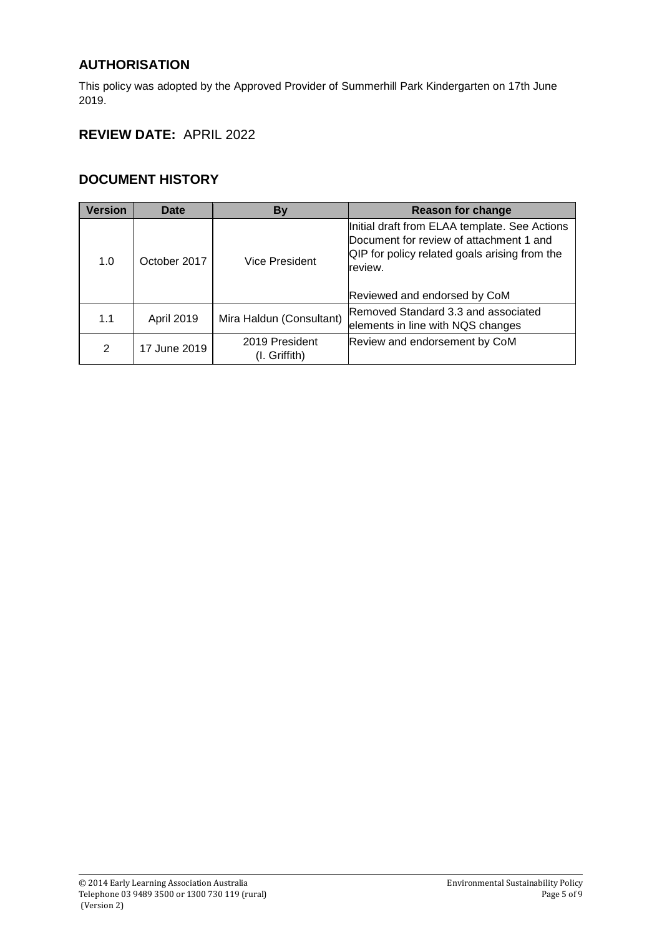## **AUTHORISATION**

This policy was adopted by the Approved Provider of Summerhill Park Kindergarten on 17th June 2019.

# **REVIEW DATE:** APRIL 2022

### **DOCUMENT HISTORY**

| <b>Version</b> | Date              | <b>By</b>                       | <b>Reason for change</b>                                                                                                                                                             |
|----------------|-------------------|---------------------------------|--------------------------------------------------------------------------------------------------------------------------------------------------------------------------------------|
| 1.0            | October 2017      | Vice President                  | Initial draft from ELAA template. See Actions<br>Document for review of attachment 1 and<br>QIP for policy related goals arising from the<br>review.<br>Reviewed and endorsed by CoM |
| 1.1            | <b>April 2019</b> | Mira Haldun (Consultant)        | Removed Standard 3.3 and associated<br>elements in line with NQS changes                                                                                                             |
| 2              | 17 June 2019      | 2019 President<br>(I. Griffith) | Review and endorsement by CoM                                                                                                                                                        |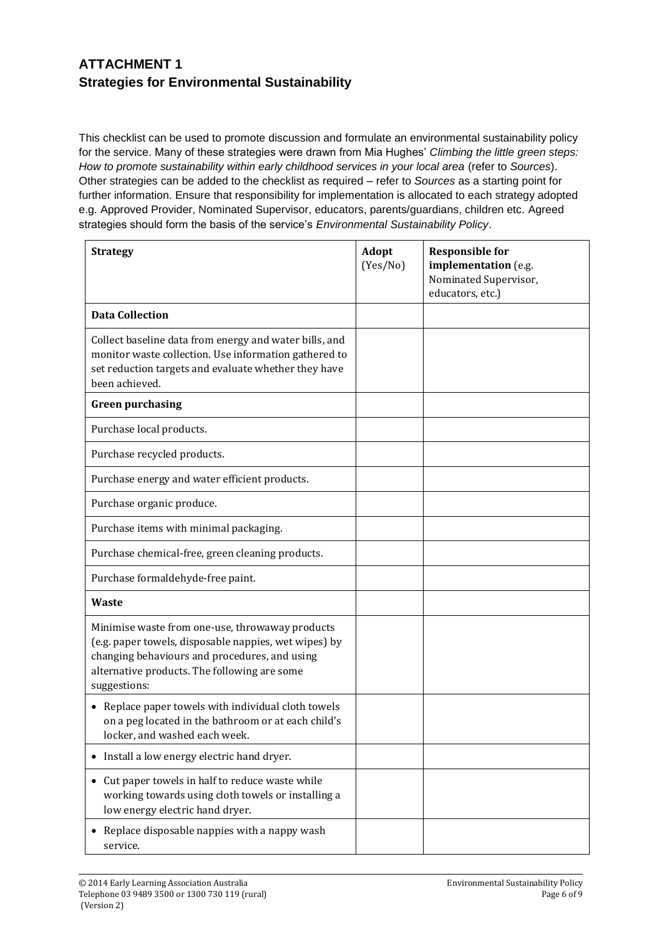## **ATTACHMENT 1 Strategies for Environmental Sustainability**

This checklist can be used to promote discussion and formulate an environmental sustainability policy for the service. Many of these strategies were drawn from Mia Hughes' *Climbing the little green steps: How to promote sustainability within early childhood services in your local area* (refer to *Sources*). Other strategies can be added to the checklist as required – refer to *Sources* as a starting point for further information. Ensure that responsibility for implementation is allocated to each strategy adopted e.g. Approved Provider, Nominated Supervisor, educators, parents/guardians, children etc. Agreed strategies should form the basis of the service's *Environmental Sustainability Policy*.

| <b>Strategy</b>                                                                                                                                                                                                           | <b>Adopt</b><br>(Yes/No) | <b>Responsible for</b><br>implementation (e.g.<br>Nominated Supervisor,<br>educators, etc.) |
|---------------------------------------------------------------------------------------------------------------------------------------------------------------------------------------------------------------------------|--------------------------|---------------------------------------------------------------------------------------------|
| <b>Data Collection</b>                                                                                                                                                                                                    |                          |                                                                                             |
| Collect baseline data from energy and water bills, and<br>monitor waste collection. Use information gathered to<br>set reduction targets and evaluate whether they have<br>been achieved.                                 |                          |                                                                                             |
| <b>Green purchasing</b>                                                                                                                                                                                                   |                          |                                                                                             |
| Purchase local products.                                                                                                                                                                                                  |                          |                                                                                             |
| Purchase recycled products.                                                                                                                                                                                               |                          |                                                                                             |
| Purchase energy and water efficient products.                                                                                                                                                                             |                          |                                                                                             |
| Purchase organic produce.                                                                                                                                                                                                 |                          |                                                                                             |
| Purchase items with minimal packaging.                                                                                                                                                                                    |                          |                                                                                             |
| Purchase chemical-free, green cleaning products.                                                                                                                                                                          |                          |                                                                                             |
| Purchase formaldehyde-free paint.                                                                                                                                                                                         |                          |                                                                                             |
| <b>Waste</b>                                                                                                                                                                                                              |                          |                                                                                             |
| Minimise waste from one-use, throwaway products<br>(e.g. paper towels, disposable nappies, wet wipes) by<br>changing behaviours and procedures, and using<br>alternative products. The following are some<br>suggestions: |                          |                                                                                             |
| • Replace paper towels with individual cloth towels<br>on a peg located in the bathroom or at each child's<br>locker, and washed each week.                                                                               |                          |                                                                                             |
| • Install a low energy electric hand dryer.                                                                                                                                                                               |                          |                                                                                             |
| Cut paper towels in half to reduce waste while<br>working towards using cloth towels or installing a<br>low energy electric hand dryer.                                                                                   |                          |                                                                                             |
| Replace disposable nappies with a nappy wash<br>service.                                                                                                                                                                  |                          |                                                                                             |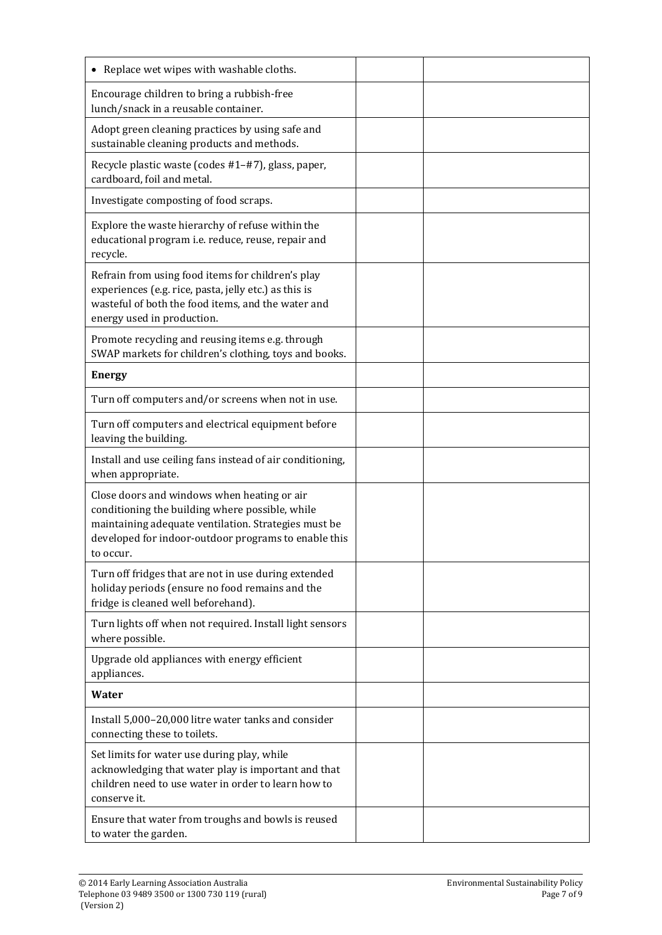| • Replace wet wipes with washable cloths.                                                                                                                                                                                   |  |
|-----------------------------------------------------------------------------------------------------------------------------------------------------------------------------------------------------------------------------|--|
| Encourage children to bring a rubbish-free<br>lunch/snack in a reusable container.                                                                                                                                          |  |
| Adopt green cleaning practices by using safe and<br>sustainable cleaning products and methods.                                                                                                                              |  |
| Recycle plastic waste (codes #1-#7), glass, paper,<br>cardboard, foil and metal.                                                                                                                                            |  |
| Investigate composting of food scraps.                                                                                                                                                                                      |  |
| Explore the waste hierarchy of refuse within the<br>educational program i.e. reduce, reuse, repair and<br>recycle.                                                                                                          |  |
| Refrain from using food items for children's play<br>experiences (e.g. rice, pasta, jelly etc.) as this is<br>wasteful of both the food items, and the water and<br>energy used in production.                              |  |
| Promote recycling and reusing items e.g. through<br>SWAP markets for children's clothing, toys and books.                                                                                                                   |  |
| <b>Energy</b>                                                                                                                                                                                                               |  |
| Turn off computers and/or screens when not in use.                                                                                                                                                                          |  |
| Turn off computers and electrical equipment before<br>leaving the building.                                                                                                                                                 |  |
| Install and use ceiling fans instead of air conditioning,<br>when appropriate.                                                                                                                                              |  |
| Close doors and windows when heating or air<br>conditioning the building where possible, while<br>maintaining adequate ventilation. Strategies must be<br>developed for indoor-outdoor programs to enable this<br>to occur. |  |
| Turn off fridges that are not in use during extended<br>holiday periods (ensure no food remains and the<br>fridge is cleaned well beforehand).                                                                              |  |
| Turn lights off when not required. Install light sensors<br>where possible.                                                                                                                                                 |  |
| Upgrade old appliances with energy efficient<br>appliances.                                                                                                                                                                 |  |
| <b>Water</b>                                                                                                                                                                                                                |  |
| Install 5,000-20,000 litre water tanks and consider<br>connecting these to toilets.                                                                                                                                         |  |
| Set limits for water use during play, while<br>acknowledging that water play is important and that<br>children need to use water in order to learn how to<br>conserve it.                                                   |  |
| Ensure that water from troughs and bowls is reused<br>to water the garden.                                                                                                                                                  |  |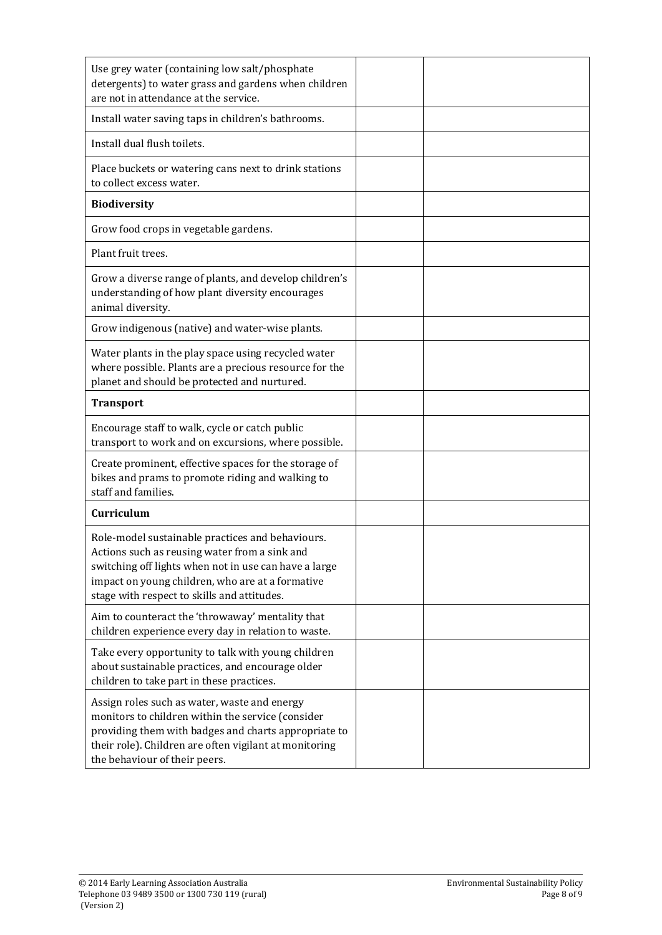| Use grey water (containing low salt/phosphate<br>detergents) to water grass and gardens when children<br>are not in attendance at the service.                                                                                                                |  |
|---------------------------------------------------------------------------------------------------------------------------------------------------------------------------------------------------------------------------------------------------------------|--|
| Install water saving taps in children's bathrooms.                                                                                                                                                                                                            |  |
| Install dual flush toilets.                                                                                                                                                                                                                                   |  |
| Place buckets or watering cans next to drink stations<br>to collect excess water.                                                                                                                                                                             |  |
| <b>Biodiversity</b>                                                                                                                                                                                                                                           |  |
| Grow food crops in vegetable gardens.                                                                                                                                                                                                                         |  |
| Plant fruit trees.                                                                                                                                                                                                                                            |  |
| Grow a diverse range of plants, and develop children's<br>understanding of how plant diversity encourages<br>animal diversity.                                                                                                                                |  |
| Grow indigenous (native) and water-wise plants.                                                                                                                                                                                                               |  |
| Water plants in the play space using recycled water<br>where possible. Plants are a precious resource for the<br>planet and should be protected and nurtured.                                                                                                 |  |
| <b>Transport</b>                                                                                                                                                                                                                                              |  |
| Encourage staff to walk, cycle or catch public<br>transport to work and on excursions, where possible.                                                                                                                                                        |  |
| Create prominent, effective spaces for the storage of<br>bikes and prams to promote riding and walking to<br>staff and families.                                                                                                                              |  |
| Curriculum                                                                                                                                                                                                                                                    |  |
| Role-model sustainable practices and behaviours.<br>Actions such as reusing water from a sink and<br>switching off lights when not in use can have a large<br>impact on young children, who are at a formative<br>stage with respect to skills and attitudes. |  |
| Aim to counteract the 'throwaway' mentality that<br>children experience every day in relation to waste.                                                                                                                                                       |  |
| Take every opportunity to talk with young children<br>about sustainable practices, and encourage older<br>children to take part in these practices.                                                                                                           |  |
| Assign roles such as water, waste and energy<br>monitors to children within the service (consider<br>providing them with badges and charts appropriate to<br>their role). Children are often vigilant at monitoring<br>the behaviour of their peers.          |  |